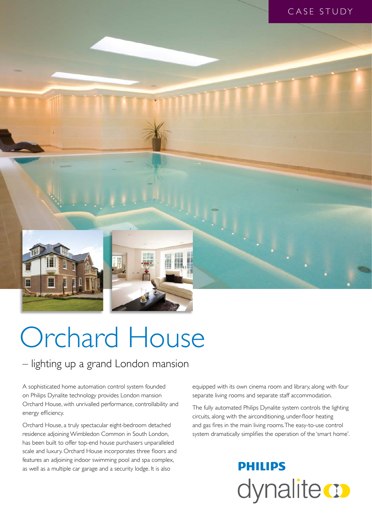

# Orchard House

– lighting up a grand London mansion

A sophisticated home automation control system founded on Philips Dynalite technology provides London mansion Orchard House, with unrivalled performance, controllability and energy efficiency.

Orchard House, a truly spectacular eight-bedroom detached residence adjoining Wimbledon Common in South London, has been built to offer top-end house purchasers unparalleled scale and luxury. Orchard House incorporates three floors and features an adjoining indoor swimming pool and spa complex, as well as a multiple car garage and a security lodge. It is also

equipped with its own cinema room and library, along with four separate living rooms and separate staff accommodation.

The fully automated Philips Dynalite system controls the lighting circuits, along with the airconditioning, under-floor heating and gas fires in the main living rooms. The easy-to-use control system dramatically simplifies the operation of the 'smart home'.

## **PHILIPS** dynalite **o**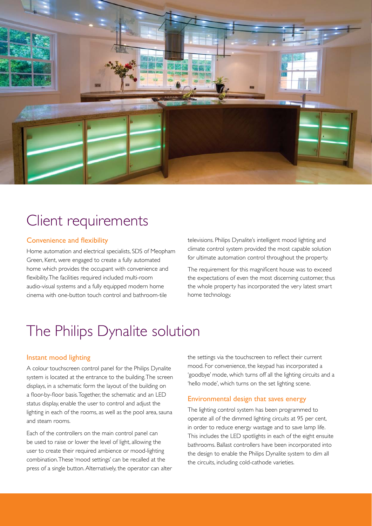

## Client requirements

#### Convenience and flexibility

Home automation and electrical specialists, SDS of Meopham Green, Kent, were engaged to create a fully automated home which provides the occupant with convenience and flexibility. The facilities required included multi-room audio-visual systems and a fully equipped modern home cinema with one-button touch control and bathroom-tile

televisions. Philips Dynalite's intelligent mood lighting and climate control system provided the most capable solution for ultimate automation control throughout the property.

The requirement for this magnificent house was to exceed the expectations of even the most discerning customer, thus the whole property has incorporated the very latest smart home technology.

## The Philips Dynalite solution

#### Instant mood lighting

A colour touchscreen control panel for the Philips Dynalite system is located at the entrance to the building. The screen displays, in a schematic form the layout of the building on a floor-by-floor basis. Together, the schematic and an LED status display, enable the user to control and adjust the lighting in each of the rooms, as well as the pool area, sauna and steam rooms.

Each of the controllers on the main control panel can be used to raise or lower the level of light, allowing the user to create their required ambience or mood-lighting combination. These 'mood settings' can be recalled at the press of a single button. Alternatively, the operator can alter the settings via the touchscreen to reflect their current mood. For convenience, the keypad has incorporated a 'goodbye' mode, which turns off all the lighting circuits and a 'hello mode', which turns on the set lighting scene.

#### Environmental design that saves energy

The lighting control system has been programmed to operate all of the dimmed lighting circuits at 95 per cent, in order to reduce energy wastage and to save lamp life. This includes the LED spotlights in each of the eight ensuite bathrooms. Ballast controllers have been incorporated into the design to enable the Philips Dynalite system to dim all the circuits, including cold-cathode varieties.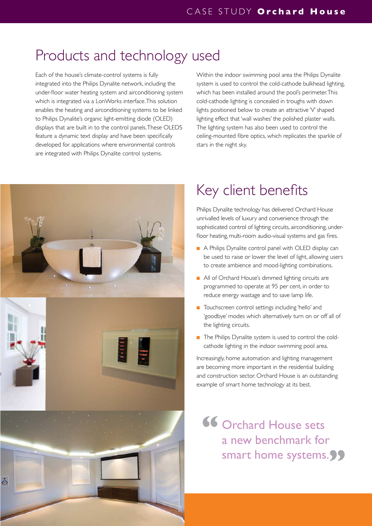### Products and technology used

Each of the house's climate-control systems is fully integrated into the Philips Dynalite network, including the under-floor water heating system and airconditioning system which is integrated via a LonWorks interface. This solution enables the heating and airconditioning systems to be linked to Philips Dynalite's organic light-emitting diode (OLED) displays that are built in to the control panels. These OLEDS feature a dynamic text display and have been specifically developed for applications where environmental controls are integrated with Philips Dynalite control systems.

Within the indoor swimming pool area the Philips Dynalite system is used to control the cold-cathode bulkhead lighting, which has been installed around the pool's perimeter. This cold-cathode lighting is concealed in troughs with down lights positioned below to create an attractive 'V' shaped lighting effect that 'wall washes' the polished plaster walls. The lighting system has also been used to control the ceiling-mounted fibre optics, which replicates the sparkle of stars in the night sky.



## Key client benefits

Philips Dynalite technology has delivered Orchard House unrivalled levels of luxury and convenience through the sophisticated control of lighting circuits, airconditioning, underfloor heating, multi-room audio-visual systems and gas fires.

- A Philips Dynalite control panel with OLED display can be used to raise or lower the level of light, allowing users to create ambience and mood-lighting combinations.
- All of Orchard House's dimmed lighting circuits are programmed to operate at 95 per cent, in order to reduce energy wastage and to save lamp life.
- Touchscreen control settings including 'hello' and 'goodbye' modes which alternatively turn on or off all of the lighting circuits.
- The Philips Dynalite system is used to control the coldcathode lighting in the indoor swimming pool area.

Increasingly, home automation and lighting management are becoming more important in the residential building and construction sector. Orchard House is an outstanding example of smart home technology at its best.

Orchard House sets a new benchmark for smart home systems.<sup>99</sup> **"**